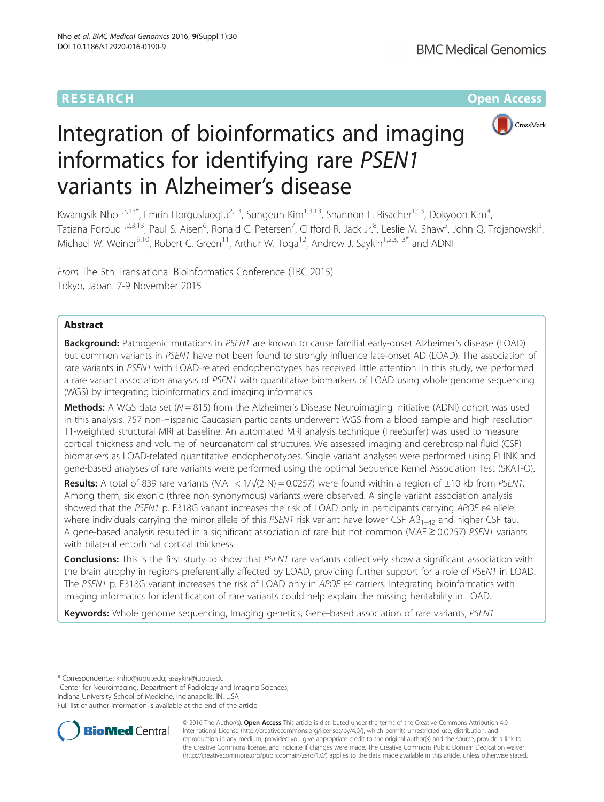# **RESEARCH CHEAR CHEAR CHEAR CHEAR CHEAR CHEAR CHEAR CHEAR CHEAR CHEAR CHEAR CHEAR CHEAR CHEAR CHEAR CHEAR CHEAR**



# Integration of bioinformatics and imaging informatics for identifying rare PSEN1 variants in Alzheimer's disease

Kwangsik Nho<sup>1,3,13\*</sup>, Emrin Horgusluoglu<sup>2,13</sup>, Sungeun Kim<sup>1,3,13</sup>, Shannon L. Risacher<sup>1,13</sup>, Dokyoon Kim<sup>4</sup>, , Tatiana Foroud<sup>1,2,3,13</sup>, Paul S. Aisen<sup>6</sup>, Ronald C. Petersen<sup>7</sup>, Clifford R. Jack Jr.<sup>8</sup>, Leslie M. Shaw<sup>5</sup>, John Q. Trojanowski<sup>5</sup> , Michael W. Weiner<sup>9,10</sup>, Robert C. Green<sup>11</sup>, Arthur W. Toga<sup>12</sup>, Andrew J. Saykin<sup>1,2,3,13\*</sup> and ADNI

From The 5th Translational Bioinformatics Conference (TBC 2015) Tokyo, Japan. 7-9 November 2015

## Abstract

Background: Pathogenic mutations in PSEN1 are known to cause familial early-onset Alzheimer's disease (EOAD) but common variants in PSEN1 have not been found to strongly influence late-onset AD (LOAD). The association of rare variants in PSEN1 with LOAD-related endophenotypes has received little attention. In this study, we performed a rare variant association analysis of PSEN1 with quantitative biomarkers of LOAD using whole genome sequencing (WGS) by integrating bioinformatics and imaging informatics.

**Methods:** A WGS data set ( $N = 815$ ) from the Alzheimer's Disease Neuroimaging Initiative (ADNI) cohort was used in this analysis. 757 non-Hispanic Caucasian participants underwent WGS from a blood sample and high resolution T1-weighted structural MRI at baseline. An automated MRI analysis technique (FreeSurfer) was used to measure cortical thickness and volume of neuroanatomical structures. We assessed imaging and cerebrospinal fluid (CSF) biomarkers as LOAD-related quantitative endophenotypes. Single variant analyses were performed using PLINK and gene-based analyses of rare variants were performed using the optimal Sequence Kernel Association Test (SKAT-O).

**Results:** A total of 839 rare variants (MAF <  $1/\sqrt{2}$  N) = 0.0257) were found within a region of  $\pm 10$  kb from PSEN1. Among them, six exonic (three non-synonymous) variants were observed. A single variant association analysis showed that the PSEN1 p. E318G variant increases the risk of LOAD only in participants carrying APOE  $\varepsilon$ 4 allele where individuals carrying the minor allele of this PSEN1 risk variant have lower CSF A $\beta_{1-42}$  and higher CSF tau. A gene-based analysis resulted in a significant association of rare but not common (MAF ≥ 0.0257) PSEN1 variants with bilateral entorhinal cortical thickness.

**Conclusions:** This is the first study to show that PSEN1 rare variants collectively show a significant association with the brain atrophy in regions preferentially affected by LOAD, providing further support for a role of PSEN1 in LOAD. The PSEN1 p. E318G variant increases the risk of LOAD only in APOE  $\varepsilon$ 4 carriers. Integrating bioinformatics with imaging informatics for identification of rare variants could help explain the missing heritability in LOAD.

Keywords: Whole genome sequencing, Imaging genetics, Gene-based association of rare variants, PSEN1

<sup>1</sup> Center for Neuroimaging, Department of Radiology and Imaging Sciences, Indiana University School of Medicine, Indianapolis, IN, USA

Full list of author information is available at the end of the article



© 2016 The Author(s). Open Access This article is distributed under the terms of the Creative Commons Attribution 4.0 International License [\(http://creativecommons.org/licenses/by/4.0/](http://creativecommons.org/licenses/by/4.0/)), which permits unrestricted use, distribution, and reproduction in any medium, provided you give appropriate credit to the original author(s) and the source, provide a link to the Creative Commons license, and indicate if changes were made. The Creative Commons Public Domain Dedication waiver [\(http://creativecommons.org/publicdomain/zero/1.0/](http://creativecommons.org/publicdomain/zero/1.0/)) applies to the data made available in this article, unless otherwise stated.

<sup>\*</sup> Correspondence: [knho@iupui.edu;](mailto:knho@iupui.edu) [asaykin@iupui.edu](mailto:asaykin@iupui.edu) <sup>1</sup>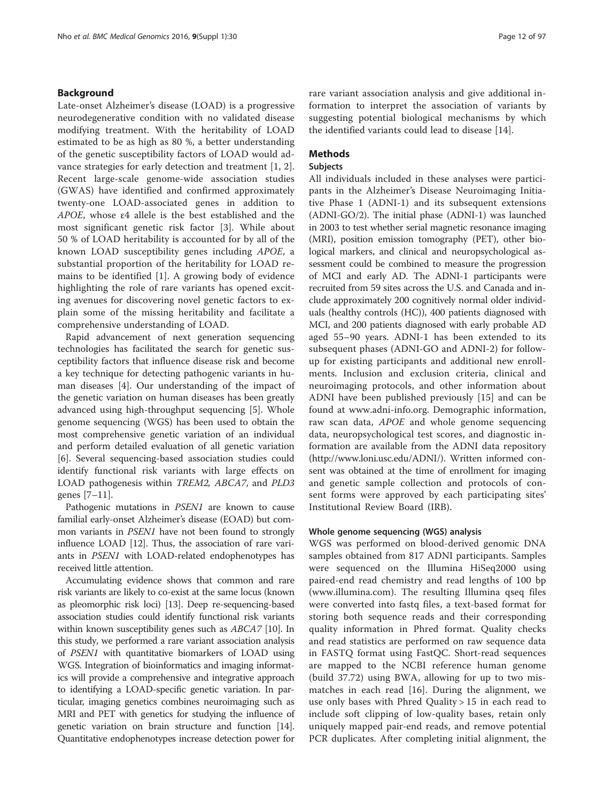## Background

Late-onset Alzheimer's disease (LOAD) is a progressive neurodegenerative condition with no validated disease modifying treatment. With the heritability of LOAD estimated to be as high as 80 %, a better understanding of the genetic susceptibility factors of LOAD would advance strategies for early detection and treatment [[1, 2](#page-6-0)]. Recent large-scale genome-wide association studies (GWAS) have identified and confirmed approximately twenty-one LOAD-associated genes in addition to APOE, whose  $\varepsilon$ 4 allele is the best established and the most significant genetic risk factor [\[3](#page-6-0)]. While about 50 % of LOAD heritability is accounted for by all of the known LOAD susceptibility genes including APOE, a substantial proportion of the heritability for LOAD remains to be identified [[1\]](#page-6-0). A growing body of evidence highlighting the role of rare variants has opened exciting avenues for discovering novel genetic factors to explain some of the missing heritability and facilitate a comprehensive understanding of LOAD.

Rapid advancement of next generation sequencing technologies has facilitated the search for genetic susceptibility factors that influence disease risk and become a key technique for detecting pathogenic variants in human diseases [[4\]](#page-6-0). Our understanding of the impact of the genetic variation on human diseases has been greatly advanced using high-throughput sequencing [\[5\]](#page-6-0). Whole genome sequencing (WGS) has been used to obtain the most comprehensive genetic variation of an individual and perform detailed evaluation of all genetic variation [[6\]](#page-6-0). Several sequencing-based association studies could identify functional risk variants with large effects on LOAD pathogenesis within TREM2, ABCA7, and PLD3 genes [\[7](#page-6-0)–[11](#page-6-0)].

Pathogenic mutations in PSEN1 are known to cause familial early-onset Alzheimer's disease (EOAD) but common variants in PSEN1 have not been found to strongly influence LOAD [\[12\]](#page-6-0). Thus, the association of rare variants in PSEN1 with LOAD-related endophenotypes has received little attention.

Accumulating evidence shows that common and rare risk variants are likely to co-exist at the same locus (known as pleomorphic risk loci) [\[13](#page-6-0)]. Deep re-sequencing-based association studies could identify functional risk variants within known susceptibility genes such as ABCA7 [\[10\]](#page-6-0). In this study, we performed a rare variant association analysis of PSEN1 with quantitative biomarkers of LOAD using WGS. Integration of bioinformatics and imaging informatics will provide a comprehensive and integrative approach to identifying a LOAD-specific genetic variation. In particular, imaging genetics combines neuroimaging such as MRI and PET with genetics for studying the influence of genetic variation on brain structure and function [[14](#page-6-0)]. Quantitative endophenotypes increase detection power for rare variant association analysis and give additional information to interpret the association of variants by suggesting potential biological mechanisms by which the identified variants could lead to disease [\[14](#page-6-0)].

## Methods

## Subjects

All individuals included in these analyses were participants in the Alzheimer's Disease Neuroimaging Initiative Phase 1 (ADNI-1) and its subsequent extensions (ADNI-GO/2). The initial phase (ADNI-1) was launched in 2003 to test whether serial magnetic resonance imaging (MRI), position emission tomography (PET), other biological markers, and clinical and neuropsychological assessment could be combined to measure the progression of MCI and early AD. The ADNI-1 participants were recruited from 59 sites across the U.S. and Canada and include approximately 200 cognitively normal older individuals (healthy controls (HC)), 400 patients diagnosed with MCI, and 200 patients diagnosed with early probable AD aged 55–90 years. ADNI-1 has been extended to its subsequent phases (ADNI-GO and ADNI-2) for followup for existing participants and additional new enrollments. Inclusion and exclusion criteria, clinical and neuroimaging protocols, and other information about ADNI have been published previously [\[15](#page-6-0)] and can be found at [www.adni-info.org](http://www.adni-info.org/). Demographic information, raw scan data, APOE and whole genome sequencing data, neuropsychological test scores, and diagnostic information are available from the ADNI data repository (<http://www.loni.usc.edu/ADNI/>). Written informed consent was obtained at the time of enrollment for imaging and genetic sample collection and protocols of consent forms were approved by each participating sites' Institutional Review Board (IRB).

## Whole genome sequencing (WGS) analysis

WGS was performed on blood-derived genomic DNA samples obtained from 817 ADNI participants. Samples were sequenced on the Illumina HiSeq2000 using paired-end read chemistry and read lengths of 100 bp ([www.illumina.com\)](http://www.illumina.com/). The resulting Illumina qseq files were converted into fastq files, a text-based format for storing both sequence reads and their corresponding quality information in Phred format. Quality checks and read statistics are performed on raw sequence data in FASTQ format using FastQC. Short-read sequences are mapped to the NCBI reference human genome (build 37.72) using BWA, allowing for up to two mismatches in each read [\[16](#page-6-0)]. During the alignment, we use only bases with Phred Quality > 15 in each read to include soft clipping of low-quality bases, retain only uniquely mapped pair-end reads, and remove potential PCR duplicates. After completing initial alignment, the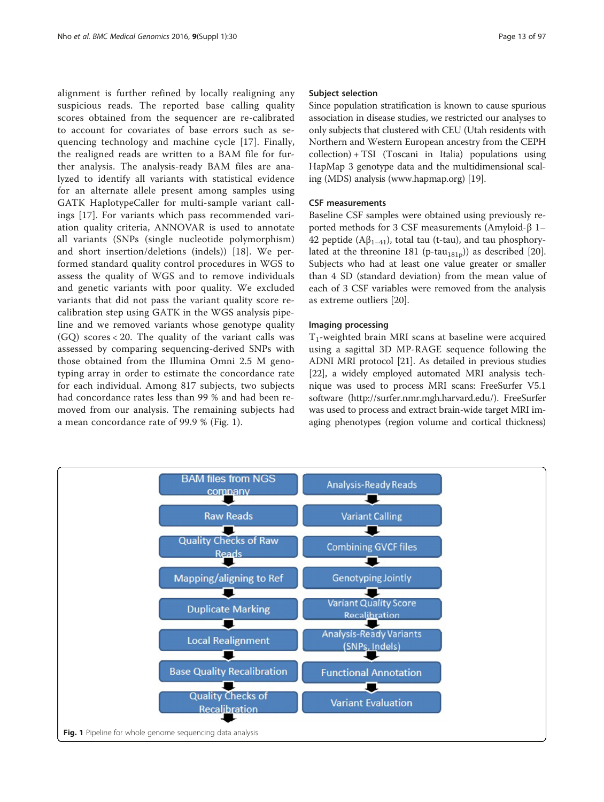alignment is further refined by locally realigning any suspicious reads. The reported base calling quality scores obtained from the sequencer are re-calibrated to account for covariates of base errors such as sequencing technology and machine cycle [[17](#page-6-0)]. Finally, the realigned reads are written to a BAM file for further analysis. The analysis-ready BAM files are analyzed to identify all variants with statistical evidence for an alternate allele present among samples using GATK HaplotypeCaller for multi-sample variant callings [[17](#page-6-0)]. For variants which pass recommended variation quality criteria, ANNOVAR is used to annotate all variants (SNPs (single nucleotide polymorphism) and short insertion/deletions (indels)) [\[18\]](#page-6-0). We performed standard quality control procedures in WGS to assess the quality of WGS and to remove individuals and genetic variants with poor quality. We excluded variants that did not pass the variant quality score recalibration step using GATK in the WGS analysis pipeline and we removed variants whose genotype quality (GQ) scores < 20. The quality of the variant calls was assessed by comparing sequencing-derived SNPs with those obtained from the Illumina Omni 2.5 M genotyping array in order to estimate the concordance rate for each individual. Among 817 subjects, two subjects had concordance rates less than 99 % and had been removed from our analysis. The remaining subjects had a mean concordance rate of 99.9 % (Fig. 1).

## Subject selection

Since population stratification is known to cause spurious association in disease studies, we restricted our analyses to only subjects that clustered with CEU (Utah residents with Northern and Western European ancestry from the CEPH collection) + TSI (Toscani in Italia) populations using HapMap 3 genotype data and the multidimensional scaling (MDS) analysis ([www.hapmap.org\)](http://www.hapmap.org/) [\[19](#page-6-0)].

## CSF measurements

Baseline CSF samples were obtained using previously reported methods for 3 CSF measurements (Amyloid-β 1– 42 peptide ( $A\beta_{1-41}$ ), total tau (t-tau), and tau phosphory-lated at the threonine 181 (p-tau<sub>181p</sub>)) as described [\[20](#page-6-0)]. Subjects who had at least one value greater or smaller than 4 SD (standard deviation) from the mean value of each of 3 CSF variables were removed from the analysis as extreme outliers [[20](#page-6-0)].

### Imaging processing

T1-weighted brain MRI scans at baseline were acquired using a sagittal 3D MP-RAGE sequence following the ADNI MRI protocol [[21](#page-6-0)]. As detailed in previous studies [[22](#page-6-0)], a widely employed automated MRI analysis technique was used to process MRI scans: FreeSurfer V5.1 software [\(http://surfer.nmr.mgh.harvard.edu/\)](http://surfer.nmr.mgh.harvard.edu/). FreeSurfer was used to process and extract brain-wide target MRI imaging phenotypes (region volume and cortical thickness)

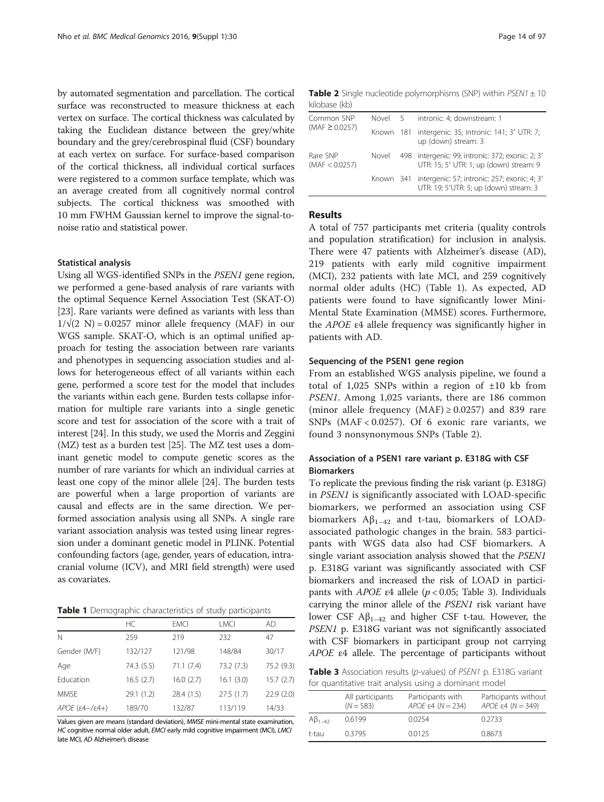by automated segmentation and parcellation. The cortical surface was reconstructed to measure thickness at each vertex on surface. The cortical thickness was calculated by taking the Euclidean distance between the grey/white boundary and the grey/cerebrospinal fluid (CSF) boundary at each vertex on surface. For surface-based comparison of the cortical thickness, all individual cortical surfaces were registered to a common surface template, which was an average created from all cognitively normal control subjects. The cortical thickness was smoothed with 10 mm FWHM Gaussian kernel to improve the signal-tonoise ratio and statistical power.

#### Statistical analysis

Using all WGS-identified SNPs in the PSEN1 gene region, we performed a gene-based analysis of rare variants with the optimal Sequence Kernel Association Test (SKAT-O) [[23](#page-6-0)]. Rare variants were defined as variants with less than  $1/\sqrt{2}$  N) = 0.0257 minor allele frequency (MAF) in our WGS sample. SKAT-O, which is an optimal unified approach for testing the association between rare variants and phenotypes in sequencing association studies and allows for heterogeneous effect of all variants within each gene, performed a score test for the model that includes the variants within each gene. Burden tests collapse information for multiple rare variants into a single genetic score and test for association of the score with a trait of interest [\[24\]](#page-6-0). In this study, we used the Morris and Zeggini (MZ) test as a burden test [\[25\]](#page-6-0). The MZ test uses a dominant genetic model to compute genetic scores as the number of rare variants for which an individual carries at least one copy of the minor allele [\[24\]](#page-6-0). The burden tests are powerful when a large proportion of variants are causal and effects are in the same direction. We performed association analysis using all SNPs. A single rare variant association analysis was tested using linear regression under a dominant genetic model in PLINK. Potential confounding factors (age, gender, years of education, intracranial volume (ICV), and MRI field strength) were used as covariates.

Table 1 Demographic characteristics of study participants

|                                              | НC         | <b>EMCI</b> | <b>LMCI</b> | AD         |
|----------------------------------------------|------------|-------------|-------------|------------|
| N                                            | 259        | 219         | 232         | 47         |
| Gender (M/F)                                 | 132/127    | 121/98      | 148/84      | 30/17      |
| Age                                          | 74.3 (5.5) | 71.1(7.4)   | 73.2 (7.3)  | 75.2 (9.3) |
| Education                                    | 16.5(2.7)  | 16.0(2.7)   | 16.1(3.0)   | 15.7(2.7)  |
| <b>MMSE</b>                                  | 29.1 (1.2) | 28.4 (1.5)  | 27.5(1.7)   | 22.9(2.0)  |
| $APOE$ ( $\varepsilon$ 4-/ $\varepsilon$ 4+) | 189/70     | 132/87      | 113/119     | 14/33      |
|                                              |            |             |             |            |

Values given are means (standard deviation), MMSE mini-mental state examination, HC cognitive normal older adult, EMCI early mild cognitive impairment (MCI), LMCI late MCI, AD Alzheimer's disease

**Table 2** Single nucleotide polymorphisms (SNP) within  $PSEN1 \pm 10$ kilobase (kb)

| Common SNP<br>$(MAF \ge 0.0257)$ | Novel 5 | intronic: 4; downstream: 1                                                                       |
|----------------------------------|---------|--------------------------------------------------------------------------------------------------|
|                                  |         | Known 181 intergenic: 35; intronic: 141; 3' UTR: 7;<br>up (down) stream: 3                       |
| Rare SNP<br>(MAF < 0.0257)       | Novel   | 498 intergenic: 99; intronic: 372; exonic: 2; 3'<br>UTR: 15; 5' UTR: 1; up (down) stream: 9      |
|                                  |         | Known 341 intergenic: 57; intronic: 257; exonic: 4; 3'<br>UTR: 19; 5'UTR: 5; up (down) stream: 3 |

## Results

A total of 757 participants met criteria (quality controls and population stratification) for inclusion in analysis. There were 47 patients with Alzheimer's disease (AD), 219 patients with early mild cognitive impairment (MCI), 232 patients with late MCI, and 259 cognitively normal older adults (HC) (Table 1). As expected, AD patients were found to have significantly lower Mini-Mental State Examination (MMSE) scores. Furthermore, the APOE ε4 allele frequency was significantly higher in patients with AD.

## Sequencing of the PSEN1 gene region

From an established WGS analysis pipeline, we found a total of  $1,025$  SNPs within a region of  $\pm 10$  kb from PSEN1. Among 1,025 variants, there are 186 common (minor allele frequency  $(MAF) \ge 0.0257$ ) and 839 rare SNPs (MAF < 0.0257). Of 6 exonic rare variants, we found 3 nonsynonymous SNPs (Table 2).

## Association of a PSEN1 rare variant p. E318G with CSF Biomarkers

To replicate the previous finding the risk variant (p. E318G) in PSEN1 is significantly associated with LOAD-specific biomarkers, we performed an association using CSF biomarkers  $A\beta_{1-42}$  and t-tau, biomarkers of LOADassociated pathologic changes in the brain. 583 participants with WGS data also had CSF biomarkers. A single variant association analysis showed that the PSEN1 p. E318G variant was significantly associated with CSF biomarkers and increased the risk of LOAD in participants with *APOE*  $\varepsilon$ 4 allele ( $p$  < 0.05; Table 3). Individuals carrying the minor allele of the PSEN1 risk variant have lower CSF  $A\beta_{1-42}$  and higher CSF t-tau. However, the PSEN1 p. E318G variant was not significantly associated with CSF biomarkers in participant group not carrying APOE ε4 allele. The percentage of participants without

Table 3 Association results (p-values) of PSEN1 p. E318G variant for quantitative trait analysis using a dominant model

|             | All participants<br>$(N = 583)$ | Participants with<br>APOE $\varepsilon$ 4 (N = 234) | Participants without<br>APOE $\varepsilon$ 4 (N = 349) |
|-------------|---------------------------------|-----------------------------------------------------|--------------------------------------------------------|
| $AB_{1-42}$ | 0.6199                          | 0.0254                                              | 0.2733                                                 |
| t-tau       | 0.3795                          | 0.0125                                              | 0.8673                                                 |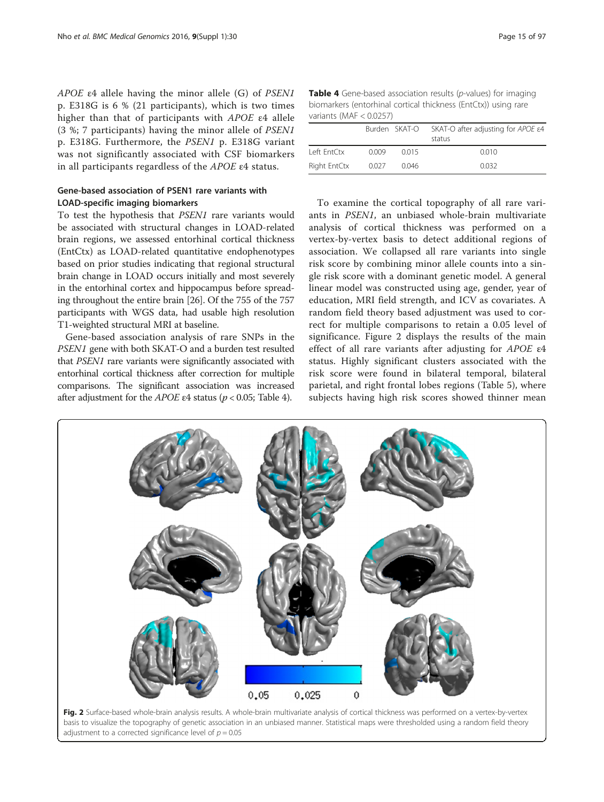<span id="page-4-0"></span>APOE ε4 allele having the minor allele (G) of PSEN1 p. E318G is 6 % (21 participants), which is two times higher than that of participants with APOE ε4 allele (3 %; 7 participants) having the minor allele of PSEN1 p. E318G. Furthermore, the PSEN1 p. E318G variant was not significantly associated with CSF biomarkers in all participants regardless of the APOE ε4 status.

## Gene-based association of PSEN1 rare variants with LOAD-specific imaging biomarkers

To test the hypothesis that PSEN1 rare variants would be associated with structural changes in LOAD-related brain regions, we assessed entorhinal cortical thickness (EntCtx) as LOAD-related quantitative endophenotypes based on prior studies indicating that regional structural brain change in LOAD occurs initially and most severely in the entorhinal cortex and hippocampus before spreading throughout the entire brain [\[26\]](#page-6-0). Of the 755 of the 757 participants with WGS data, had usable high resolution T1-weighted structural MRI at baseline.

Gene-based association analysis of rare SNPs in the PSEN1 gene with both SKAT-O and a burden test resulted that PSEN1 rare variants were significantly associated with entorhinal cortical thickness after correction for multiple comparisons. The significant association was increased after adjustment for the *APOE*  $\varepsilon$ 4 status ( $p$  < 0.05; Table 4).

| <b>Table 4</b> Gene-based association results (p-values) for imaging |
|----------------------------------------------------------------------|
| biomarkers (entorhinal cortical thickness (EntCtx)) using rare       |
| variants (MAF $<$ 0.0257)                                            |

|              | Burden SKAT-O |       | SKAT-O after adjusting for APOE $\varepsilon$ 4<br>status |
|--------------|---------------|-------|-----------------------------------------------------------|
| Left FntCtx  | 0.009         | 0.015 | 0.010                                                     |
| Right EntCtx | 0.027         | 0.046 | 0.032                                                     |

To examine the cortical topography of all rare variants in PSEN1, an unbiased whole-brain multivariate analysis of cortical thickness was performed on a vertex-by-vertex basis to detect additional regions of association. We collapsed all rare variants into single risk score by combining minor allele counts into a single risk score with a dominant genetic model. A general linear model was constructed using age, gender, year of education, MRI field strength, and ICV as covariates. A random field theory based adjustment was used to correct for multiple comparisons to retain a 0.05 level of significance. Figure 2 displays the results of the main effect of all rare variants after adjusting for APOE ε4 status. Highly significant clusters associated with the risk score were found in bilateral temporal, bilateral parietal, and right frontal lobes regions (Table [5\)](#page-5-0), where subjects having high risk scores showed thinner mean



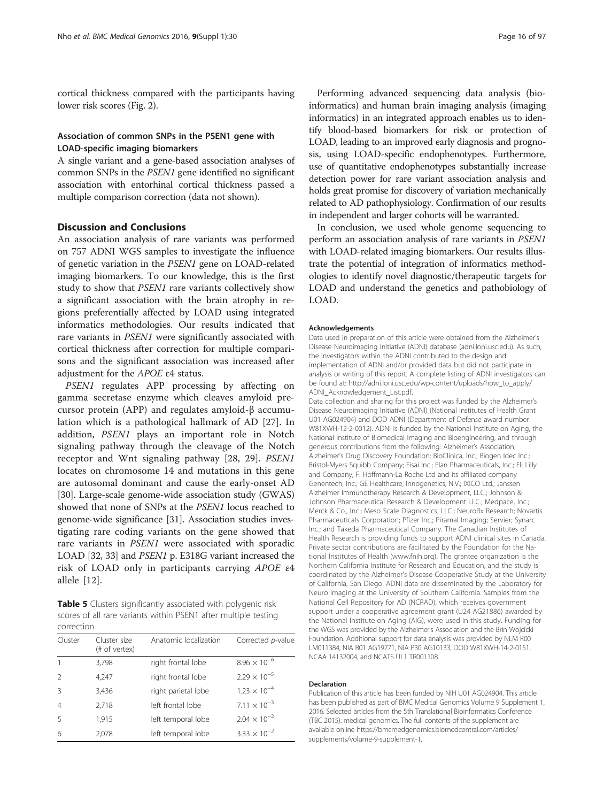<span id="page-5-0"></span>cortical thickness compared with the participants having lower risk scores (Fig. [2\)](#page-4-0).

## Association of common SNPs in the PSEN1 gene with LOAD-specific imaging biomarkers

A single variant and a gene-based association analyses of common SNPs in the PSEN1 gene identified no significant association with entorhinal cortical thickness passed a multiple comparison correction (data not shown).

## Discussion and Conclusions

An association analysis of rare variants was performed on 757 ADNI WGS samples to investigate the influence of genetic variation in the PSEN1 gene on LOAD-related imaging biomarkers. To our knowledge, this is the first study to show that PSEN1 rare variants collectively show a significant association with the brain atrophy in regions preferentially affected by LOAD using integrated informatics methodologies. Our results indicated that rare variants in PSEN1 were significantly associated with cortical thickness after correction for multiple comparisons and the significant association was increased after adjustment for the APOE ε4 status.

PSEN1 regulates APP processing by affecting on gamma secretase enzyme which cleaves amyloid precursor protein (APP) and regulates amyloid-β accumulation which is a pathological hallmark of AD [\[27](#page-6-0)]. In addition, PSEN1 plays an important role in Notch signaling pathway through the cleavage of the Notch receptor and Wnt signaling pathway [[28, 29\]](#page-6-0). PSEN1 locates on chromosome 14 and mutations in this gene are autosomal dominant and cause the early-onset AD [[30](#page-6-0)]. Large-scale genome-wide association study (GWAS) showed that none of SNPs at the PSEN1 locus reached to genome-wide significance [\[31\]](#page-6-0). Association studies investigating rare coding variants on the gene showed that rare variants in PSEN1 were associated with sporadic LOAD [[32](#page-7-0), [33\]](#page-7-0) and PSEN1 p. E318G variant increased the risk of LOAD only in participants carrying APOE ε4 allele [\[12](#page-6-0)].

Table 5 Clusters significantly associated with polygenic risk scores of all rare variants within PSEN1 after multiple testing correction

| Cluster        | Cluster size<br>(# of vertex) | Anatomic localization | Corrected p-value     |
|----------------|-------------------------------|-----------------------|-----------------------|
|                | 3,798                         | right frontal lobe    | $8.96 \times 10^{-6}$ |
| $\mathcal{L}$  | 4,247                         | right frontal lobe    | $2.29 \times 10^{-5}$ |
| $\mathcal{R}$  | 3,436                         | right parietal lobe   | $1.23 \times 10^{-4}$ |
| $\overline{4}$ | 2,718                         | left frontal lobe     | $7.11 \times 10^{-3}$ |
| $\overline{5}$ | 1.915                         | left temporal lobe    | $2.04 \times 10^{-2}$ |
| 6              | 2,078                         | left temporal lobe    | $3.33 \times 10^{-2}$ |

Performing advanced sequencing data analysis (bioinformatics) and human brain imaging analysis (imaging informatics) in an integrated approach enables us to identify blood-based biomarkers for risk or protection of LOAD, leading to an improved early diagnosis and prognosis, using LOAD-specific endophenotypes. Furthermore, use of quantitative endophenotypes substantially increase detection power for rare variant association analysis and holds great promise for discovery of variation mechanically related to AD pathophysiology. Confirmation of our results in independent and larger cohorts will be warranted.

In conclusion, we used whole genome sequencing to perform an association analysis of rare variants in PSEN1 with LOAD-related imaging biomarkers. Our results illustrate the potential of integration of informatics methodologies to identify novel diagnostic/therapeutic targets for LOAD and understand the genetics and pathobiology of LOAD.

#### Acknowledgements

Data used in preparation of this article were obtained from the Alzheimer's Disease Neuroimaging Initiative (ADNI) database (adni.loni.usc.edu). As such, the investigators within the ADNI contributed to the design and implementation of ADNI and/or provided data but did not participate in analysis or writing of this report. A complete listing of ADNI investigators can be found at: [http://adni.loni.usc.edu/wp-content/uploads/how\\_to\\_apply/](http://adni.loni.usc.edu/wp-content/uploads/how_to_apply/ADNI_Acknowledgement_List.pdf) [ADNI\\_Acknowledgement\\_List.pdf.](http://adni.loni.usc.edu/wp-content/uploads/how_to_apply/ADNI_Acknowledgement_List.pdf)

Data collection and sharing for this project was funded by the Alzheimer's Disease Neuroimaging Initiative (ADNI) (National Institutes of Health Grant U01 AG024904) and DOD ADNI (Department of Defense award number W81XWH-12-2-0012). ADNI is funded by the National Institute on Aging, the National Institute of Biomedical Imaging and Bioengineering, and through generous contributions from the following: Alzheimer's Association; Alzheimer's Drug Discovery Foundation; BioClinica, Inc.; Biogen Idec Inc.; Bristol-Myers Squibb Company; Eisai Inc.; Elan Pharmaceuticals, Inc.; Eli Lilly and Company; F. Hoffmann-La Roche Ltd and its affiliated company Genentech, Inc.; GE Healthcare; Innogenetics, N.V.; IXICO Ltd.; Janssen Alzheimer Immunotherapy Research & Development, LLC.; Johnson & Johnson Pharmaceutical Research & Development LLC.; Medpace, Inc.; Merck & Co., Inc.; Meso Scale Diagnostics, LLC.; NeuroRx Research; Novartis Pharmaceuticals Corporation; Pfizer Inc.; Piramal Imaging; Servier; Synarc Inc.; and Takeda Pharmaceutical Company. The Canadian Institutes of Health Research is providing funds to support ADNI clinical sites in Canada. Private sector contributions are facilitated by the Foundation for the National Institutes of Health ([www.fnih.org](http://www.fnih.org/)). The grantee organization is the Northern California Institute for Research and Education, and the study is coordinated by the Alzheimer's Disease Cooperative Study at the University of California, San Diego. ADNI data are disseminated by the Laboratory for Neuro Imaging at the University of Southern California. Samples from the National Cell Repository for AD (NCRAD), which receives government support under a cooperative agreement grant (U24 AG21886) awarded by the National Institute on Aging (AIG), were used in this study. Funding for the WGS was provided by the Alzheimer's Association and the Brin Wojcicki Foundation. Additional support for data analysis was provided by NLM R00 LM011384, NIA R01 AG19771, NIA P30 AG10133, DOD W81XWH-14-2-0151, NCAA 14132004, and NCATS UL1 TR001108.

#### Declaration

Publication of this article has been funded by NIH U01 AG024904. This article has been published as part of BMC Medical Genomics Volume 9 Supplement 1, 2016. Selected articles from the 5th Translational Bioinformatics Conference (TBC 2015): medical genomics. The full contents of the supplement are available online [https://bmcmedgenomics.biomedcentral.com/articles/](https://bmcmedgenomics.biomedcentral.com/articles/supplements/volume-9-supplement-1) [supplements/volume-9-supplement-1](https://bmcmedgenomics.biomedcentral.com/articles/supplements/volume-9-supplement-1).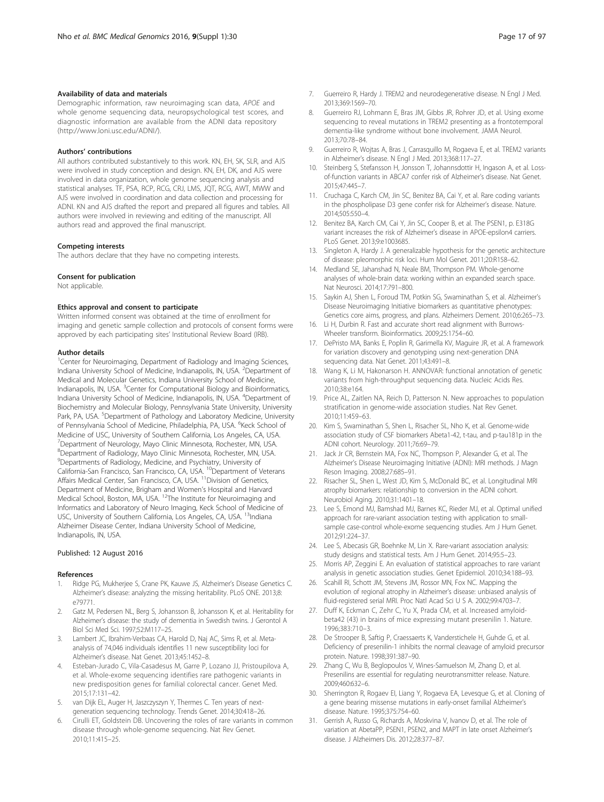### <span id="page-6-0"></span>Availability of data and materials

Demographic information, raw neuroimaging scan data, APOE and whole genome sequencing data, neuropsychological test scores, and diagnostic information are available from the ADNI data repository (<http://www.loni.usc.edu/ADNI/>).

#### Authors' contributions

All authors contributed substantively to this work. KN, EH, SK, SLR, and AJS were involved in study conception and design. KN, EH, DK, and AJS were involved in data organization, whole genome sequencing analysis and statistical analyses. TF, PSA, RCP, RCG, CRJ, LMS, JQT, RCG, AWT, MWW and AJS were involved in coordination and data collection and processing for ADNI. KN and AJS drafted the report and prepared all figures and tables. All authors were involved in reviewing and editing of the manuscript. All authors read and approved the final manuscript.

#### Competing interests

The authors declare that they have no competing interests.

#### Consent for publication

Not applicable.

#### Ethics approval and consent to participate

Written informed consent was obtained at the time of enrollment for imaging and genetic sample collection and protocols of consent forms were approved by each participating sites' Institutional Review Board (IRB).

#### Author details

<sup>1</sup>Center for Neuroimaging, Department of Radiology and Imaging Sciences, Indiana University School of Medicine, Indianapolis, IN, USA. <sup>2</sup>Department of Medical and Molecular Genetics, Indiana University School of Medicine, Indianapolis, IN, USA. <sup>3</sup>Center for Computational Biology and Bioinformatics, Indiana University School of Medicine, Indianapolis, IN, USA. <sup>4</sup> Department of Biochemistry and Molecular Biology, Pennsylvania State University, University Park, PA, USA. <sup>5</sup>Department of Pathology and Laboratory Medicine, University of Pennsylvania School of Medicine, Philadelphia, PA, USA. <sup>6</sup>Keck School of Medicine of USC, University of Southern California, Los Angeles, CA, USA. 7 Department of Neurology, Mayo Clinic Minnesota, Rochester, MN, USA. 8 Department of Radiology, Mayo Clinic Minnesota, Rochester, MN, USA. 9 Departments of Radiology, Medicine, and Psychiatry, University of California-San Francisco, San Francisco, CA, USA. <sup>10</sup>Department of Veterans Affairs Medical Center, San Francisco, CA, USA. 11Division of Genetics, Department of Medicine, Brigham and Women's Hospital and Harvard Medical School, Boston, MA, USA. 12The Institute for Neuroimaging and Informatics and Laboratory of Neuro Imaging, Keck School of Medicine of USC, University of Southern California, Los Angeles, CA, USA. <sup>13</sup>Indiana Alzheimer Disease Center, Indiana University School of Medicine, Indianapolis, IN, USA.

### Published: 12 August 2016

#### References

- 1. Ridge PG, Mukherjee S, Crane PK, Kauwe JS, Alzheimer's Disease Genetics C. Alzheimer's disease: analyzing the missing heritability. PLoS ONE. 2013;8: e79771.
- 2. Gatz M, Pedersen NL, Berg S, Johansson B, Johansson K, et al. Heritability for Alzheimer's disease: the study of dementia in Swedish twins. J Gerontol A Biol Sci Med Sci. 1997;52:M117–25.
- Lambert JC, Ibrahim-Verbaas CA, Harold D, Naj AC, Sims R, et al. Metaanalysis of 74,046 individuals identifies 11 new susceptibility loci for Alzheimer's disease. Nat Genet. 2013;45:1452–8.
- 4. Esteban-Jurado C, Vila-Casadesus M, Garre P, Lozano JJ, Pristoupilova A, et al. Whole-exome sequencing identifies rare pathogenic variants in new predisposition genes for familial colorectal cancer. Genet Med. 2015;17:131–42.
- van Dijk EL, Auger H, Jaszczyszyn Y, Thermes C. Ten years of nextgeneration sequencing technology. Trends Genet. 2014;30:418–26.
- 6. Cirulli ET, Goldstein DB. Uncovering the roles of rare variants in common disease through whole-genome sequencing. Nat Rev Genet. 2010;11:415–25.
- 7. Guerreiro R, Hardy J. TREM2 and neurodegenerative disease. N Engl J Med. 2013;369:1569–70.
- 8. Guerreiro RJ, Lohmann E, Bras JM, Gibbs JR, Rohrer JD, et al. Using exome sequencing to reveal mutations in TREM2 presenting as a frontotemporal dementia-like syndrome without bone involvement. JAMA Neurol. 2013;70:78–84.
- 9. Guerreiro R, Wojtas A, Bras J, Carrasquillo M, Rogaeva E, et al. TREM2 variants in Alzheimer's disease. N Engl J Med. 2013;368:117–27.
- 10. Steinberg S, Stefansson H, Jonsson T, Johannsdottir H, Ingason A, et al. Lossof-function variants in ABCA7 confer risk of Alzheimer's disease. Nat Genet. 2015;47:445–7.
- 11. Cruchaga C, Karch CM, Jin SC, Benitez BA, Cai Y, et al. Rare coding variants in the phospholipase D3 gene confer risk for Alzheimer's disease. Nature. 2014;505:550–4.
- 12. Benitez BA, Karch CM, Cai Y, Jin SC, Cooper B, et al. The PSEN1, p. E318G variant increases the risk of Alzheimer's disease in APOE-epsilon4 carriers. PLoS Genet. 2013;9:e1003685.
- 13. Singleton A, Hardy J. A generalizable hypothesis for the genetic architecture of disease: pleomorphic risk loci. Hum Mol Genet. 2011;20:R158–62.
- 14. Medland SE, Jahanshad N, Neale BM, Thompson PM. Whole-genome analyses of whole-brain data: working within an expanded search space. Nat Neurosci. 2014;17:791–800.
- 15. Saykin AJ, Shen L, Foroud TM, Potkin SG, Swaminathan S, et al. Alzheimer's Disease Neuroimaging Initiative biomarkers as quantitative phenotypes: Genetics core aims, progress, and plans. Alzheimers Dement. 2010;6:265–73.
- 16. Li H, Durbin R, Fast and accurate short read alignment with Burrows-Wheeler transform. Bioinformatics. 2009;25:1754–60.
- 17. DePristo MA, Banks E, Poplin R, Garimella KV, Maguire JR, et al. A framework for variation discovery and genotyping using next-generation DNA sequencing data. Nat Genet. 2011;43:491–8.
- 18. Wang K, Li M, Hakonarson H. ANNOVAR: functional annotation of genetic variants from high-throughput sequencing data. Nucleic Acids Res. 2010;38:e164.
- 19. Price AL, Zaitlen NA, Reich D, Patterson N. New approaches to population stratification in genome-wide association studies. Nat Rev Genet. 2010;11:459–63.
- 20. Kim S, Swaminathan S, Shen L, Risacher SL, Nho K, et al. Genome-wide association study of CSF biomarkers Abeta1-42, t-tau, and p-tau181p in the ADNI cohort. Neurology. 2011;76:69–79.
- 21. Jack Jr CR, Bernstein MA, Fox NC, Thompson P, Alexander G, et al. The Alzheimer's Disease Neuroimaging Initiative (ADNI): MRI methods. J Magn Reson Imaging. 2008;27:685–91.
- 22. Risacher SL, Shen L, West JD, Kim S, McDonald BC, et al. Longitudinal MRI atrophy biomarkers: relationship to conversion in the ADNI cohort. Neurobiol Aging. 2010;31:1401–18.
- 23. Lee S, Emond MJ, Bamshad MJ, Barnes KC, Rieder MJ, et al. Optimal unified approach for rare-variant association testing with application to smallsample case-control whole-exome sequencing studies. Am J Hum Genet. 2012;91:224–37.
- 24. Lee S, Abecasis GR, Boehnke M, Lin X. Rare-variant association analysis: study designs and statistical tests. Am J Hum Genet. 2014;95:5–23.
- 25. Morris AP, Zeggini E. An evaluation of statistical approaches to rare variant analysis in genetic association studies. Genet Epidemiol. 2010;34:188–93.
- 26. Scahill RI, Schott JM, Stevens JM, Rossor MN, Fox NC. Mapping the evolution of regional atrophy in Alzheimer's disease: unbiased analysis of fluid-registered serial MRI. Proc Natl Acad Sci U S A. 2002;99:4703–7.
- 27. Duff K, Eckman C, Zehr C, Yu X, Prada CM, et al. Increased amyloidbeta42 (43) in brains of mice expressing mutant presenilin 1. Nature. 1996;383:710–3.
- 28. De Strooper B, Saftig P, Craessaerts K, Vanderstichele H, Guhde G, et al. Deficiency of presenilin-1 inhibits the normal cleavage of amyloid precursor protein. Nature. 1998;391:387–90.
- 29. Zhang C, Wu B, Beglopoulos V, Wines-Samuelson M, Zhang D, et al. Presenilins are essential for regulating neurotransmitter release. Nature. 2009;460:632–6.
- 30. Sherrington R, Rogaev EI, Liang Y, Rogaeva EA, Levesque G, et al. Cloning of a gene bearing missense mutations in early-onset familial Alzheimer's disease. Nature. 1995;375:754–60.
- 31. Gerrish A, Russo G, Richards A, Moskvina V, Ivanov D, et al. The role of variation at AbetaPP, PSEN1, PSEN2, and MAPT in late onset Alzheimer's disease. J Alzheimers Dis. 2012;28:377–87.